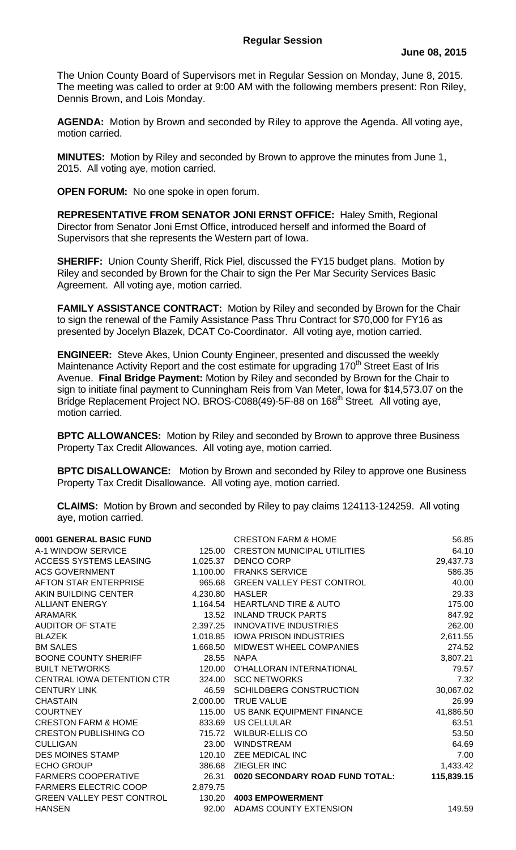## **Regular Session**

The Union County Board of Supervisors met in Regular Session on Monday, June 8, 2015. The meeting was called to order at 9:00 AM with the following members present: Ron Riley, Dennis Brown, and Lois Monday.

**AGENDA:** Motion by Brown and seconded by Riley to approve the Agenda. All voting aye, motion carried.

**MINUTES:** Motion by Riley and seconded by Brown to approve the minutes from June 1, 2015. All voting aye, motion carried.

**OPEN FORUM:** No one spoke in open forum.

**REPRESENTATIVE FROM SENATOR JONI ERNST OFFICE:** Haley Smith, Regional Director from Senator Joni Ernst Office, introduced herself and informed the Board of Supervisors that she represents the Western part of Iowa.

**SHERIFF:** Union County Sheriff, Rick Piel, discussed the FY15 budget plans. Motion by Riley and seconded by Brown for the Chair to sign the Per Mar Security Services Basic Agreement. All voting aye, motion carried.

**FAMILY ASSISTANCE CONTRACT:** Motion by Riley and seconded by Brown for the Chair to sign the renewal of the Family Assistance Pass Thru Contract for \$70,000 for FY16 as presented by Jocelyn Blazek, DCAT Co-Coordinator. All voting aye, motion carried.

**ENGINEER:** Steve Akes, Union County Engineer, presented and discussed the weekly Maintenance Activity Report and the cost estimate for upgrading 170<sup>th</sup> Street East of Iris Avenue. **Final Bridge Payment:** Motion by Riley and seconded by Brown for the Chair to sign to initiate final payment to Cunningham Reis from Van Meter, Iowa for \$14,573.07 on the Bridge Replacement Project NO. BROS-C088(49)-5F-88 on 168<sup>th</sup> Street. All voting aye, motion carried.

**BPTC ALLOWANCES:** Motion by Riley and seconded by Brown to approve three Business Property Tax Credit Allowances. All voting aye, motion carried.

**BPTC DISALLOWANCE:** Motion by Brown and seconded by Riley to approve one Business Property Tax Credit Disallowance. All voting aye, motion carried.

**CLAIMS:** Motion by Brown and seconded by Riley to pay claims 124113-124259. All voting aye, motion carried.

| 0001 GENERAL BASIC FUND          |          | <b>CRESTON FARM &amp; HOME</b>     | 56.85      |
|----------------------------------|----------|------------------------------------|------------|
| A-1 WINDOW SERVICE               | 125.00   | <b>CRESTON MUNICIPAL UTILITIES</b> | 64.10      |
| ACCESS SYSTEMS LEASING           | 1,025.37 | DENCO CORP                         | 29,437.73  |
| <b>ACS GOVERNMENT</b>            |          | 1,100.00 FRANKS SERVICE            | 586.35     |
| AFTON STAR ENTERPRISE            |          | 965.68 GREEN VALLEY PEST CONTROL   | 40.00      |
| AKIN BUILDING CENTER             | 4,230.80 | HASLER                             | 29.33      |
| <b>ALLIANT ENERGY</b>            |          | 1,164.54 HEARTLAND TIRE & AUTO     | 175.00     |
| ARAMARK                          | 13.52    | <b>INLAND TRUCK PARTS</b>          | 847.92     |
| AUDITOR OF STATE                 | 2,397.25 | <b>INNOVATIVE INDUSTRIES</b>       | 262.00     |
| <b>BLAZEK</b>                    |          | 1,018.85 IOWA PRISON INDUSTRIES    | 2,611.55   |
| <b>BM SALES</b>                  | 1,668.50 | MIDWEST WHEEL COMPANIES            | 274.52     |
| <b>BOONE COUNTY SHERIFF</b>      | 28.55    | <b>NAPA</b>                        | 3,807.21   |
| <b>BUILT NETWORKS</b>            | 120.00   | O'HALLORAN INTERNATIONAL           | 79.57      |
| CENTRAL IOWA DETENTION CTR       | 324.00   | <b>SCC NETWORKS</b>                | 7.32       |
| <b>CENTURY LINK</b>              | 46.59    | <b>SCHILDBERG CONSTRUCTION</b>     | 30,067.02  |
| <b>CHASTAIN</b>                  |          | 2,000.00 TRUE VALUE                | 26.99      |
| <b>COURTNEY</b>                  |          | 115.00 US BANK EQUIPMENT FINANCE   | 41,886.50  |
| <b>CRESTON FARM &amp; HOME</b>   | 833.69   | US CELLULAR                        | 63.51      |
| <b>CRESTON PUBLISHING CO</b>     | 715.72   | <b>WILBUR-ELLIS CO</b>             | 53.50      |
| <b>CULLIGAN</b>                  | 23.00    | <b>WINDSTREAM</b>                  | 64.69      |
| <b>DES MOINES STAMP</b>          | 120.10   | ZEE MEDICAL INC                    | 7.00       |
| <b>ECHO GROUP</b>                | 386.68   | ZIEGLER INC                        | 1,433.42   |
| FARMERS COOPERATIVE              | 26.31    | 0020 SECONDARY ROAD FUND TOTAL:    | 115,839.15 |
| FARMERS ELECTRIC COOP            | 2,879.75 |                                    |            |
| <b>GREEN VALLEY PEST CONTROL</b> | 130.20   | <b>4003 EMPOWERMENT</b>            |            |
| <b>HANSEN</b>                    | 92.00    | ADAMS COUNTY EXTENSION             | 149.59     |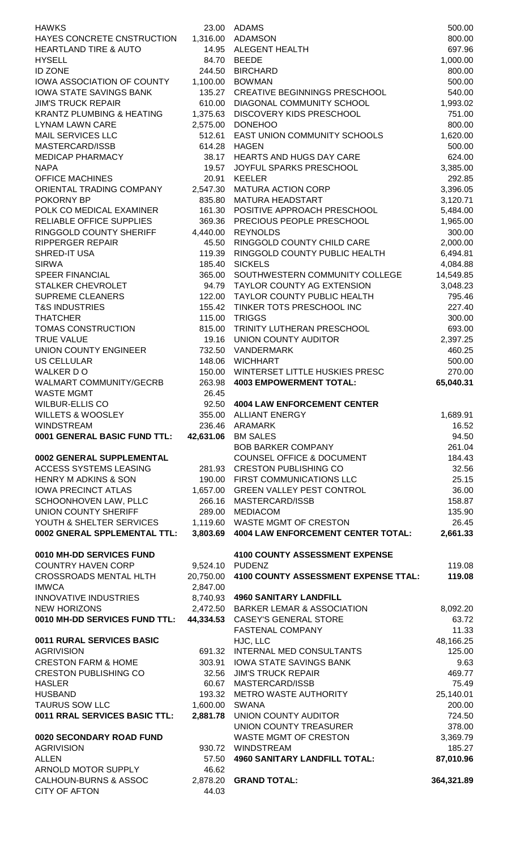| <b>HAWKS</b>                                                 |                       | 23.00 ADAMS                                                  | 500.00               |
|--------------------------------------------------------------|-----------------------|--------------------------------------------------------------|----------------------|
| HAYES CONCRETE CNSTRUCTION                                   | 1,316.00              | <b>ADAMSON</b>                                               | 800.00               |
| <b>HEARTLAND TIRE &amp; AUTO</b>                             | 14.95                 | ALEGENT HEALTH                                               | 697.96               |
| <b>HYSELL</b>                                                | 84.70                 | <b>BEEDE</b>                                                 | 1,000.00             |
| <b>ID ZONE</b>                                               | 244.50                | <b>BIRCHARD</b>                                              | 800.00               |
| IOWA ASSOCIATION OF COUNTY<br><b>IOWA STATE SAVINGS BANK</b> | 1,100.00<br>135.27    | <b>BOWMAN</b><br><b>CREATIVE BEGINNINGS PRESCHOOL</b>        | 500.00<br>540.00     |
| <b>JIM'S TRUCK REPAIR</b>                                    | 610.00                | DIAGONAL COMMUNITY SCHOOL                                    | 1,993.02             |
| <b>KRANTZ PLUMBING &amp; HEATING</b>                         | 1,375.63              | DISCOVERY KIDS PRESCHOOL                                     | 751.00               |
| <b>LYNAM LAWN CARE</b>                                       | 2,575.00              | <b>DONEHOO</b>                                               | 800.00               |
| <b>MAIL SERVICES LLC</b>                                     | 512.61                | EAST UNION COMMUNITY SCHOOLS                                 | 1,620.00             |
| MASTERCARD/ISSB                                              | 614.28                | <b>HAGEN</b>                                                 | 500.00               |
| <b>MEDICAP PHARMACY</b>                                      | 38.17                 | <b>HEARTS AND HUGS DAY CARE</b>                              | 624.00               |
| <b>NAPA</b>                                                  | 19.57                 | JOYFUL SPARKS PRESCHOOL                                      | 3,385.00             |
| <b>OFFICE MACHINES</b>                                       | 20.91                 | <b>KEELER</b><br><b>MATURA ACTION CORP</b>                   | 292.85               |
| ORIENTAL TRADING COMPANY<br>POKORNY BP                       | 2,547.30<br>835.80    | <b>MATURA HEADSTART</b>                                      | 3,396.05<br>3,120.71 |
| POLK CO MEDICAL EXAMINER                                     | 161.30                | POSITIVE APPROACH PRESCHOOL                                  | 5,484.00             |
| RELIABLE OFFICE SUPPLIES                                     | 369.36                | PRECIOUS PEOPLE PRESCHOOL                                    | 1,965.00             |
| RINGGOLD COUNTY SHERIFF                                      | 4,440.00              | <b>REYNOLDS</b>                                              | 300.00               |
| <b>RIPPERGER REPAIR</b>                                      | 45.50                 | RINGGOLD COUNTY CHILD CARE                                   | 2,000.00             |
| SHRED-IT USA                                                 | 119.39                | RINGGOLD COUNTY PUBLIC HEALTH                                | 6,494.81             |
| <b>SIRWA</b>                                                 | 185.40                | <b>SICKELS</b>                                               | 4,084.88             |
| <b>SPEER FINANCIAL</b>                                       | 365.00                | SOUTHWESTERN COMMUNITY COLLEGE                               | 14,549.85            |
| STALKER CHEVROLET<br><b>SUPREME CLEANERS</b>                 | 94.79<br>122.00       | TAYLOR COUNTY AG EXTENSION<br>TAYLOR COUNTY PUBLIC HEALTH    | 3,048.23<br>795.46   |
| <b>T&amp;S INDUSTRIES</b>                                    | 155.42                | TINKER TOTS PRESCHOOL INC                                    | 227.40               |
| <b>THATCHER</b>                                              | 115.00                | <b>TRIGGS</b>                                                | 300.00               |
| TOMAS CONSTRUCTION                                           | 815.00                | TRINITY LUTHERAN PRESCHOOL                                   | 693.00               |
| <b>TRUE VALUE</b>                                            | 19.16                 | UNION COUNTY AUDITOR                                         | 2,397.25             |
| <b>UNION COUNTY ENGINEER</b>                                 | 732.50                | <b>VANDERMARK</b>                                            | 460.25               |
| <b>US CELLULAR</b>                                           | 148.06                | <b>WICHHART</b>                                              | 500.00               |
| WALKER DO                                                    | 150.00                | WINTERSET LITTLE HUSKIES PRESC                               | 270.00               |
| <b>WALMART COMMUNITY/GECRB</b>                               | 263.98                | <b>4003 EMPOWERMENT TOTAL:</b>                               | 65,040.31            |
| <b>WASTE MGMT</b><br><b>WILBUR-ELLIS CO</b>                  | 26.45<br>92.50        | <b>4004 LAW ENFORCEMENT CENTER</b>                           |                      |
| <b>WILLETS &amp; WOOSLEY</b>                                 | 355.00                | <b>ALLIANT ENERGY</b>                                        | 1,689.91             |
| <b>WINDSTREAM</b>                                            | 236.46                | <b>ARAMARK</b>                                               | 16.52                |
| 0001 GENERAL BASIC FUND TTL:                                 | 42,631.06             | <b>BM SALES</b>                                              | 94.50                |
|                                                              |                       | <b>BOB BARKER COMPANY</b>                                    | 261.04               |
| 0002 GENERAL SUPPLEMENTAL                                    |                       | <b>COUNSEL OFFICE &amp; DOCUMENT</b>                         | 184.43               |
| ACCESS SYSTEMS LEASING                                       | 281.93                | <b>CRESTON PUBLISHING CO</b>                                 | 32.56                |
| <b>HENRY M ADKINS &amp; SON</b>                              | 190.00                | FIRST COMMUNICATIONS LLC<br><b>GREEN VALLEY PEST CONTROL</b> | 25.15                |
| <b>IOWA PRECINCT ATLAS</b><br>SCHOONHOVEN LAW, PLLC          | 1,657.00<br>266.16    | MASTERCARD/ISSB                                              | 36.00<br>158.87      |
| UNION COUNTY SHERIFF                                         | 289.00                | <b>MEDIACOM</b>                                              | 135.90               |
| YOUTH & SHELTER SERVICES                                     | 1,119.60              | WASTE MGMT OF CRESTON                                        | 26.45                |
| 0002 GNERAL SPPLEMENTAL TTL:                                 | 3,803.69              | <b>4004 LAW ENFORCEMENT CENTER TOTAL:</b>                    | 2,661.33             |
|                                                              |                       |                                                              |                      |
| 0010 MH-DD SERVICES FUND                                     |                       | <b>4100 COUNTY ASSESSMENT EXPENSE</b>                        |                      |
| <b>COUNTRY HAVEN CORP</b><br><b>CROSSROADS MENTAL HLTH</b>   | 9,524.10<br>20,750.00 | <b>PUDENZ</b><br>4100 COUNTY ASSESSMENT EXPENSE TTAL:        | 119.08<br>119.08     |
| <b>IMWCA</b>                                                 | 2,847.00              |                                                              |                      |
| <b>INNOVATIVE INDUSTRIES</b>                                 | 8,740.93              | <b>4960 SANITARY LANDFILL</b>                                |                      |
| <b>NEW HORIZONS</b>                                          | 2,472.50              | <b>BARKER LEMAR &amp; ASSOCIATION</b>                        | 8,092.20             |
| 0010 MH-DD SERVICES FUND TTL:                                | 44,334.53             | <b>CASEY'S GENERAL STORE</b>                                 | 63.72                |
|                                                              |                       | <b>FASTENAL COMPANY</b>                                      | 11.33                |
| 0011 RURAL SERVICES BASIC                                    |                       | HJC, LLC                                                     | 48,166.25            |
| <b>AGRIVISION</b>                                            | 691.32                | INTERNAL MED CONSULTANTS                                     | 125.00               |
| <b>CRESTON FARM &amp; HOME</b>                               | 303.91                | <b>IOWA STATE SAVINGS BANK</b>                               | 9.63                 |
| <b>CRESTON PUBLISHING CO</b><br><b>HASLER</b>                | 32.56<br>60.67        | <b>JIM'S TRUCK REPAIR</b><br>MASTERCARD/ISSB                 | 469.77<br>75.49      |
| <b>HUSBAND</b>                                               |                       |                                                              |                      |
| <b>TAURUS SOW LLC</b>                                        |                       |                                                              |                      |
| 0011 RRAL SERVICES BASIC TTL:                                | 193.32<br>1,600.00    | METRO WASTE AUTHORITY<br><b>SWANA</b>                        | 25,140.01<br>200.00  |
|                                                              | 2,881.78              | UNION COUNTY AUDITOR                                         | 724.50               |
|                                                              |                       | UNION COUNTY TREASURER                                       | 378.00               |
| 0020 SECONDARY ROAD FUND                                     |                       | <b>WASTE MGMT OF CRESTON</b>                                 | 3,369.79             |
| <b>AGRIVISION</b>                                            |                       | 930.72 WINDSTREAM                                            | 185.27               |
| <b>ALLEN</b>                                                 | 57.50                 | <b>4960 SANITARY LANDFILL TOTAL:</b>                         | 87,010.96            |
| ARNOLD MOTOR SUPPLY<br><b>CALHOUN-BURNS &amp; ASSOC</b>      | 46.62                 | 2,878.20 GRAND TOTAL:                                        | 364,321.89           |